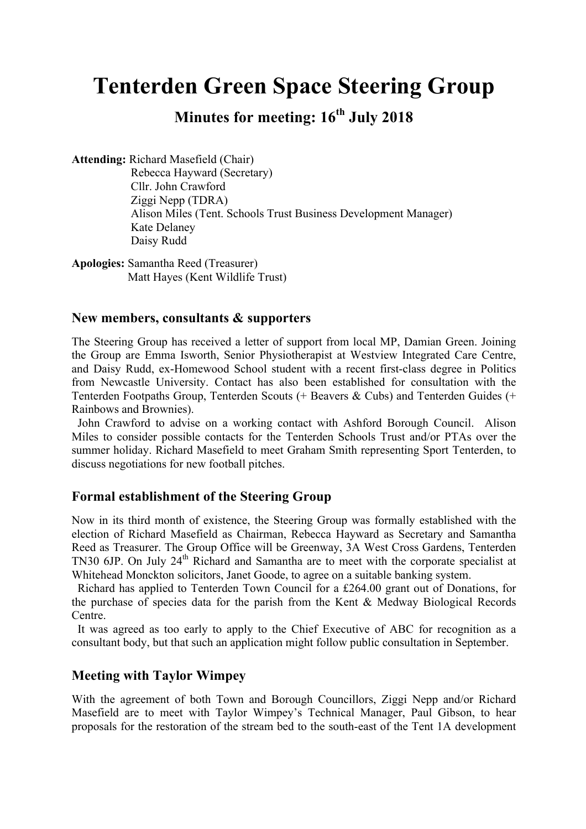# **Tenterden Green Space Steering Group**

## **Minutes for meeting: 16th July 2018**

**Attending:** Richard Masefield (Chair)

 Rebecca Hayward (Secretary) Cllr. John Crawford Ziggi Nepp (TDRA) Alison Miles (Tent. Schools Trust Business Development Manager) Kate Delaney Daisy Rudd

**Apologies:** Samantha Reed (Treasurer) Matt Hayes (Kent Wildlife Trust)

#### **New members, consultants & supporters**

The Steering Group has received a letter of support from local MP, Damian Green. Joining the Group are Emma Isworth, Senior Physiotherapist at Westview Integrated Care Centre, and Daisy Rudd, ex-Homewood School student with a recent first-class degree in Politics from Newcastle University. Contact has also been established for consultation with the Tenterden Footpaths Group, Tenterden Scouts (+ Beavers & Cubs) and Tenterden Guides (+ Rainbows and Brownies).

 John Crawford to advise on a working contact with Ashford Borough Council. Alison Miles to consider possible contacts for the Tenterden Schools Trust and/or PTAs over the summer holiday. Richard Masefield to meet Graham Smith representing Sport Tenterden, to discuss negotiations for new football pitches.

#### **Formal establishment of the Steering Group**

Now in its third month of existence, the Steering Group was formally established with the election of Richard Masefield as Chairman, Rebecca Hayward as Secretary and Samantha Reed as Treasurer. The Group Office will be Greenway, 3A West Cross Gardens, Tenterden TN30 6JP. On July 24<sup>th</sup> Richard and Samantha are to meet with the corporate specialist at Whitehead Monckton solicitors, Janet Goode, to agree on a suitable banking system.

 Richard has applied to Tenterden Town Council for a £264.00 grant out of Donations, for the purchase of species data for the parish from the Kent & Medway Biological Records Centre.

 It was agreed as too early to apply to the Chief Executive of ABC for recognition as a consultant body, but that such an application might follow public consultation in September.

#### **Meeting with Taylor Wimpey**

With the agreement of both Town and Borough Councillors, Ziggi Nepp and/or Richard Masefield are to meet with Taylor Wimpey's Technical Manager, Paul Gibson, to hear proposals for the restoration of the stream bed to the south-east of the Tent 1A development